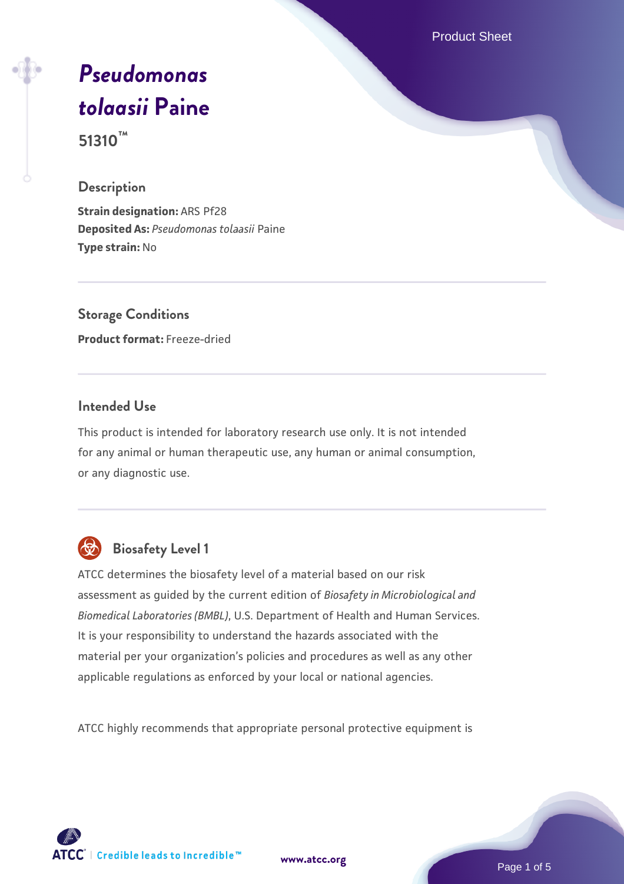Product Sheet

# *[Pseudomonas](https://www.atcc.org/products/51310) [tolaasii](https://www.atcc.org/products/51310)* **[Paine](https://www.atcc.org/products/51310)**

**51310™**

# **Description**

**Strain designation:** ARS Pf28 **Deposited As:** *Pseudomonas tolaasii* Paine **Type strain:** No

**Storage Conditions Product format:** Freeze-dried

# **Intended Use**

This product is intended for laboratory research use only. It is not intended for any animal or human therapeutic use, any human or animal consumption, or any diagnostic use.



# **Biosafety Level 1**

ATCC determines the biosafety level of a material based on our risk assessment as guided by the current edition of *Biosafety in Microbiological and Biomedical Laboratories (BMBL)*, U.S. Department of Health and Human Services. It is your responsibility to understand the hazards associated with the material per your organization's policies and procedures as well as any other applicable regulations as enforced by your local or national agencies.

ATCC highly recommends that appropriate personal protective equipment is

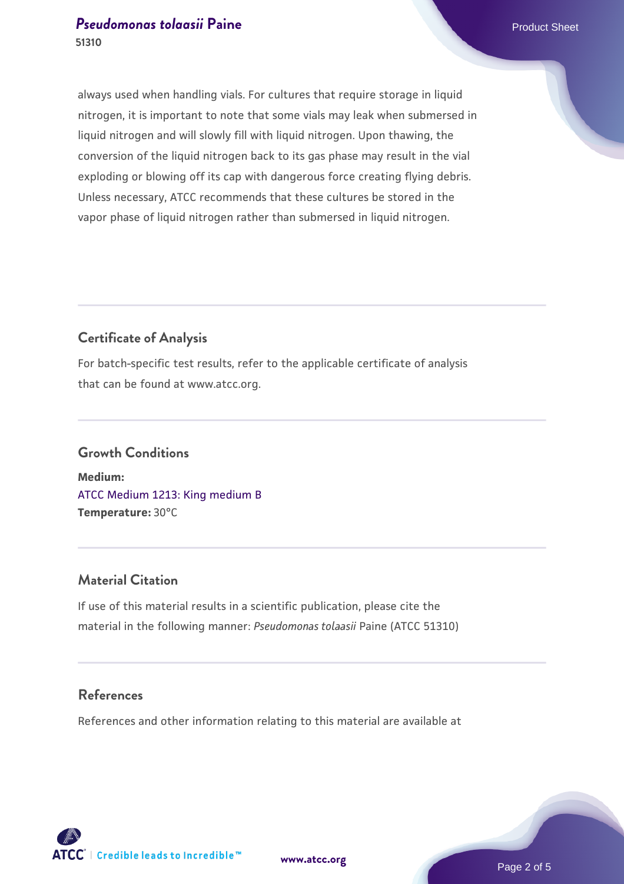always used when handling vials. For cultures that require storage in liquid nitrogen, it is important to note that some vials may leak when submersed in liquid nitrogen and will slowly fill with liquid nitrogen. Upon thawing, the conversion of the liquid nitrogen back to its gas phase may result in the vial exploding or blowing off its cap with dangerous force creating flying debris. Unless necessary, ATCC recommends that these cultures be stored in the vapor phase of liquid nitrogen rather than submersed in liquid nitrogen.

# **Certificate of Analysis**

For batch-specific test results, refer to the applicable certificate of analysis that can be found at www.atcc.org.

# **Growth Conditions Medium:**  [ATCC Medium 1213: King medium B](https://www.atcc.org/-/media/product-assets/documents/microbial-media-formulations/atcc-medium-1213.pdf?rev=26ce21b02d574c68b21db204ddc4f350) **Temperature:** 30°C

# **Material Citation**

If use of this material results in a scientific publication, please cite the material in the following manner: *Pseudomonas tolaasii* Paine (ATCC 51310)

# **References**

References and other information relating to this material are available at

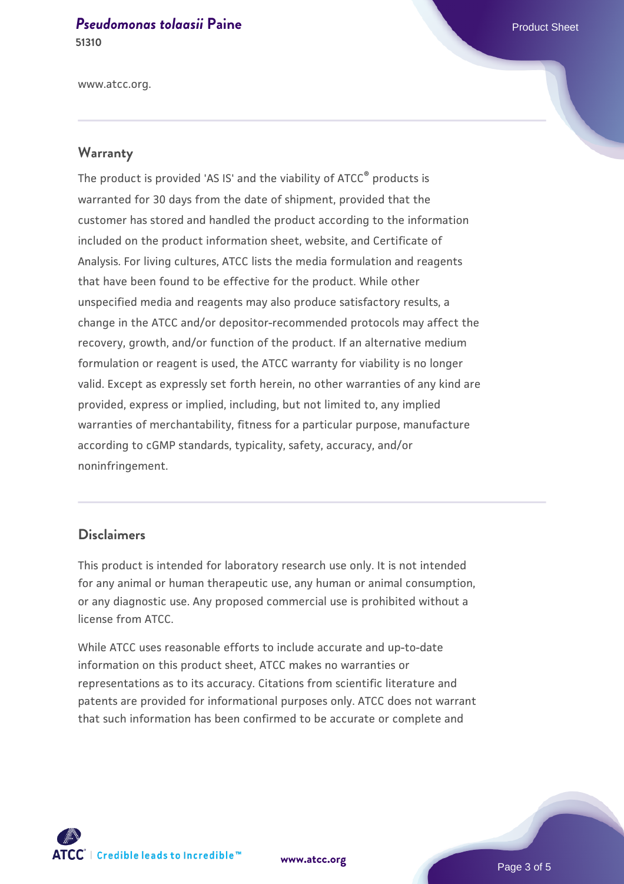www.atcc.org.

# **Warranty**

The product is provided 'AS IS' and the viability of ATCC® products is warranted for 30 days from the date of shipment, provided that the customer has stored and handled the product according to the information included on the product information sheet, website, and Certificate of Analysis. For living cultures, ATCC lists the media formulation and reagents that have been found to be effective for the product. While other unspecified media and reagents may also produce satisfactory results, a change in the ATCC and/or depositor-recommended protocols may affect the recovery, growth, and/or function of the product. If an alternative medium formulation or reagent is used, the ATCC warranty for viability is no longer valid. Except as expressly set forth herein, no other warranties of any kind are provided, express or implied, including, but not limited to, any implied warranties of merchantability, fitness for a particular purpose, manufacture according to cGMP standards, typicality, safety, accuracy, and/or noninfringement.

## **Disclaimers**

This product is intended for laboratory research use only. It is not intended for any animal or human therapeutic use, any human or animal consumption, or any diagnostic use. Any proposed commercial use is prohibited without a license from ATCC.

While ATCC uses reasonable efforts to include accurate and up-to-date information on this product sheet, ATCC makes no warranties or representations as to its accuracy. Citations from scientific literature and patents are provided for informational purposes only. ATCC does not warrant that such information has been confirmed to be accurate or complete and



**[www.atcc.org](http://www.atcc.org)**

Page 3 of 5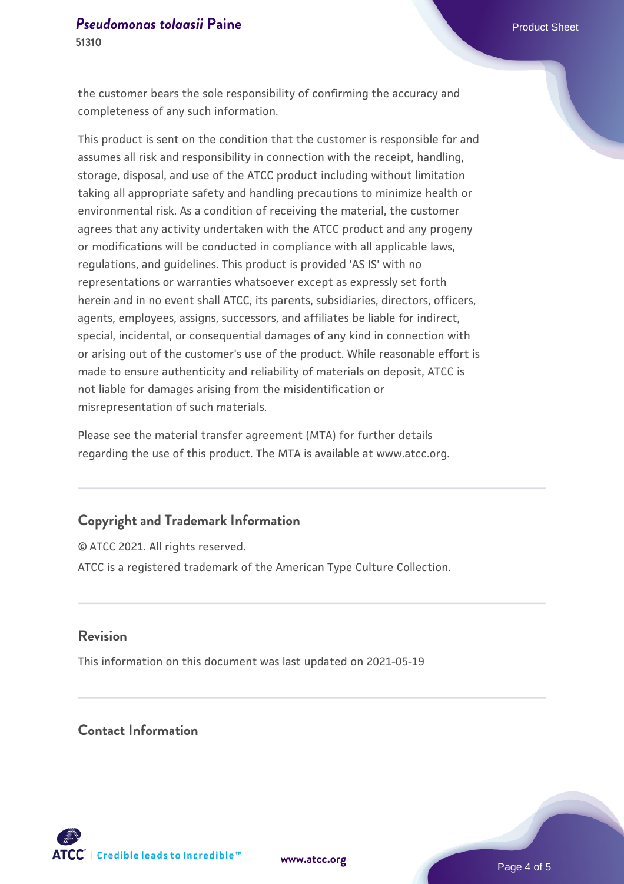the customer bears the sole responsibility of confirming the accuracy and completeness of any such information.

This product is sent on the condition that the customer is responsible for and assumes all risk and responsibility in connection with the receipt, handling, storage, disposal, and use of the ATCC product including without limitation taking all appropriate safety and handling precautions to minimize health or environmental risk. As a condition of receiving the material, the customer agrees that any activity undertaken with the ATCC product and any progeny or modifications will be conducted in compliance with all applicable laws, regulations, and guidelines. This product is provided 'AS IS' with no representations or warranties whatsoever except as expressly set forth herein and in no event shall ATCC, its parents, subsidiaries, directors, officers, agents, employees, assigns, successors, and affiliates be liable for indirect, special, incidental, or consequential damages of any kind in connection with or arising out of the customer's use of the product. While reasonable effort is made to ensure authenticity and reliability of materials on deposit, ATCC is not liable for damages arising from the misidentification or misrepresentation of such materials.

Please see the material transfer agreement (MTA) for further details regarding the use of this product. The MTA is available at www.atcc.org.

## **Copyright and Trademark Information**

© ATCC 2021. All rights reserved. ATCC is a registered trademark of the American Type Culture Collection.

#### **Revision**

This information on this document was last updated on 2021-05-19

# **Contact Information**



**[www.atcc.org](http://www.atcc.org)**

Page 4 of 5